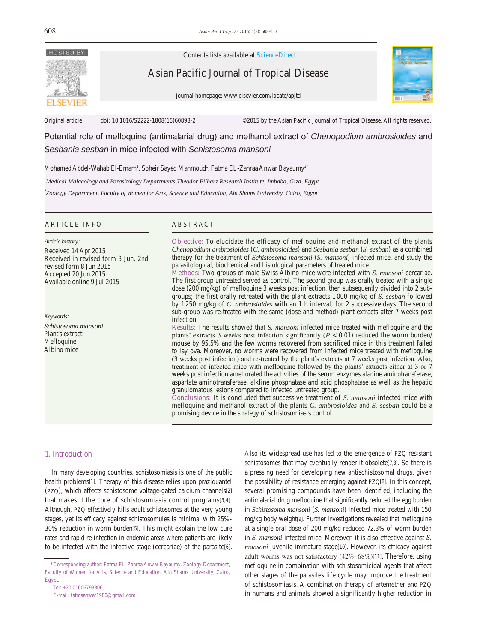

Contents lists available at ScienceDirect

Asian Pacific Journal of Tropical Disease

journal homepage: www.elsevier.com/locate/apjtd



Original article doi: 10.1016/S2222-1808(15)60898-2 ©2015 by the Asian Pacific Journal of Tropical Disease. All rights reserved.

Potential role of mefloquine (antimalarial drug) and methanol extract of *Chenopodium ambrosioides* and *Sesbania sesban* in mice infected with *Schistosoma mansoni*

Mohamed Abdel-Wahab El-Emam $^{\rm l}$ , Soheir Sayed Mahmoud $^{\rm l}$ , Fatma EL-Zahraa Anwar Bayaumy $^{2^*}$ 

*1 Medical Malacology and Parasitology Departments,Theodor Bilharz Research Institute, Imbaba, Giza, Egypt*

*2 Zoology Department, Faculty of Women for Arts, Science and Education, Ain Shams University, Cairo, Egypt*

## ARTICLE INFO ABSTRACT

#### *Article history:*

Received 14 Apr 2015 Received in revised form 3 Jun, 2nd revised form 8 Jun 2015 Accepted 20 Jun 2015 Available online 9 Jul 2015

*Keywords:*

*Schistosoma mansoni* Plant's extract Mefloquine Albino mice

**Objective:** To elucidate the efficacy of mefloquine and methanol extract of the plants *Chenopodium ambrosioides* (*C. ambrosioides*) and *Sesbania sesban* (*S. sesban*) as a combined therapy for the treatment of *Schistosoma mansoni* (*S. mansoni*) infected mice, and study the parasitological, biochemical and histological parameters of treated mice.

**Methods:** Two groups of male Swiss Albino mice were infected with *S. mansoni* cercariae. The first group untreated served as control. The second group was orally treated with a single dose (200 mg/kg) of mefloquine 3 weeks post infection, then subsequently divided into 2 subgroups; the first orally retreated with the plant extracts 1000 mg/kg of *S. sesban* followed by 1250 mg/kg of *C. ambrosioides* with an 1 h interval, for 2 successive days. The second sub-group was re-treated with the same (dose and method) plant extracts after 7 weeks post infection.

**Results:** The results showed that *S. mansoni* infected mice treated with mefloquine and the plants' extracts 3 weeks post infection significantly  $(P < 0.01)$  reduced the worm burden/ mouse by 95.5% and the few worms recovered from sacrificed mice in this treatment failed to lay ova. Moreover, no worms were recovered from infected mice treated with mefloquine (3 weeks post infection) and re-treated by the plant's extracts at 7 weeks post infection. Also, treatment of infected mice with mefloquine followed by the plants' extracts either at 3 or 7 weeks post infection ameliorated the activities of the serum enzymes alanine aminotransferase, aspartate aminotransferase, alkline phosphatase and acid phosphatase as well as the hepatic granulomatous lesions compared to infected untreated group.

**Conclusions:** It is concluded that successive treatment of *S. mansoni* infected mice with mefloquine and methanol extract of the plants *C. ambrosioides* and *S. sesban* could be a promising device in the strategy of schistosomiasis control.

# **1. Introduction**

 In many developing countries, schistosomiasis is one of the public health problems[1]. Therapy of this disease relies upon praziquantel (PZQ), which affects schistosome voltage-gated calcium channels[2] that makes it the core of schistosomiasis control programs[3,4]. Although, PZQ effectively kills adult schistosomes at the very young stages, yet its efficacy against schistosomules is minimal with 25%- 30% reduction in worm burden[5]. This might explain the low cure rates and rapid re-infection in endemic areas where patients are likely to be infected with the infective stage (cercariae) of the parasite[6].

 Tel: +20 01006793806 E-mail: fatmaanwar1980@gmail.com Also its widespread use has led to the emergence of PZQ resistant schistosomes that may eventually render it obsolete[7,8]. So there is a pressing need for developing new antischistosomal drugs, given the possibility of resistance emerging against PZQ[8]. In this concept, several promising compounds have been identified, including the antimalarial drug mefloquine that significantly reduced the egg burden in *Schistosoma mansoni* (*S. mansoni*) infected mice treated with 150 mg/kg body weight[9]. Further investigations revealed that mefloquine at a single oral dose of 200 mg/kg reduced 72.3% of worm burden in *S. mansoni* infected mice. Moreover, it is also effective against *S. mansoni* juvenile immature stage[10]. However, its efficacy against adult worms was not satisfactory (42%–68%)[11]. Therefore, using mefloquine in combination with schistosomicidal agents that affect other stages of the parasites life cycle may improve the treatment of schistosomiasis. A combination therapy of artemether and PZQ in humans and animals showed a significantly higher reduction in

 <sup>\*</sup>Corresponding author: Fatma EL-Zahraa Anwar Bayaumy, Zoology Department, Faculty of Women for Arts, Science and Education, Ain Shams University, Cairo, Egypt.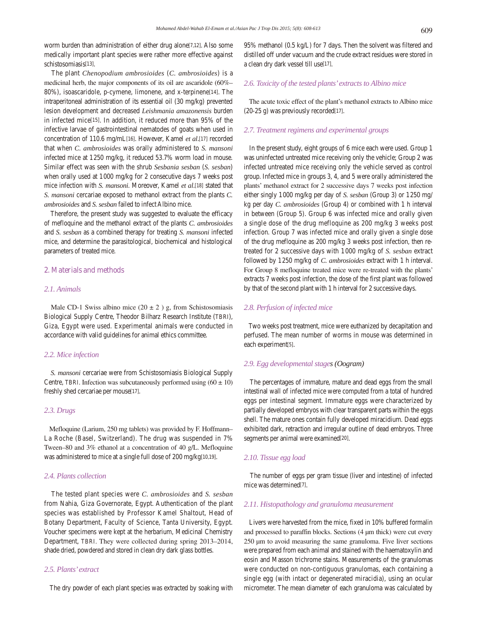worm burden than administration of either drug alone[7,12]. Also some medically important plant species were rather more effective against schistosomiasis[13].

 The plant *Chenopodium ambrosioides* (*C. ambrosioides*) is a medicinal herb, the major components of its oil are ascaridole (60%– 80%), isoascaridole, p-cymene, limonene, and x-terpinene[14]. The intraperitoneal administration of its essential oil (30 mg/kg) prevented lesion development and decreased *Leishmania amazonensis* burden in infected mice[15]. In addition, it reduced more than 95% of the infective larvae of gastrointestinal nematodes of goats when used in concentration of 110.6 mg/mL[16]. However, Kamel *et al*.[17] recorded that when *C. ambrosioides* was orally administered to *S. mansoni* infected mice at 1250 mg/kg, it reduced 53.7% worm load in mouse. Similar effect was seen with the shrub *Sesbania sesban* (*S. sesban*) when orally used at 1000 mg/kg for 2 consecutive days 7 weeks post mice infection with *S. mansoni*. Moreover, Kamel *et al*.[18] stated that *S. mansoni* cercariae exposed to methanol extract from the plants *C. ambrosioides* and *S. sesban* failed to infect Albino mice.

 Therefore, the present study was suggested to evaluate the efficacy of mefloquine and the methanol extract of the plants *C. ambrosioides*  and *S. sesban* as a combined therapy for treating *S. mansoni* infected mice, and determine the parasitological, biochemical and histological parameters of treated mice.

#### **2. Materials and methods**

# *2.1. Animals*

Male CD-1 Swiss albino mice  $(20 \pm 2)$  g, from Schistosomiasis Biological Supply Centre, Theodor Bilharz Research Institute (TBRI), Giza, Egypt were used. Experimental animals were conducted in accordance with valid guidelines for animal ethics committee.

#### *2.2. Mice infection*

 *S. mansoni* cercariae were from Schistosomiasis Biological Supply Centre, TBRI. Infection was subcutaneously performed using  $(60 \pm 10)$ freshly shed cercariae per mouse[17].

#### *2.3. Drugs*

 Mefloquine (Larium, 250 mg tablets) was provided by F. Hoffmann– La Roche (Basel, Switzerland). The drug was suspended in 7% Tween–80 and 3% ethanol at a concentration of 40 g/L. Mefloquine was administered to mice at a single full dose of 200 mg/kg[10,19].

# *2.4. Plants collection*

 The tested plant species were *C. ambrosioides* and *S. sesban*  from Nahia, Giza Governorate, Egypt. Authentication of the plant species was established by Professor Kamel Shaltout, Head of Botany Department, Faculty of Science, Tanta University, Egypt. Voucher specimens were kept at the herbarium, Medicinal Chemistry Department, TBRI. They were collected during spring 2013–2014, shade dried, powdered and stored in clean dry dark glass bottles.

# *2.5. Plants' extract*

The dry powder of each plant species was extracted by soaking with

95% methanol (0.5 kg/L) for 7 days. Then the solvent was filtered and distilled off under vacuum and the crude extract residues were stored in a clean dry dark vessel till use[17].

# *2.6. Toxicity of the tested plants' extracts to Albino mice*

 The acute toxic effect of the plant's methanol extracts to Albino mice (20-25 g) was previously recorded[17].

#### *2.7. Treatment regimens and experimental groups*

 In the present study, eight groups of 6 mice each were used. Group 1 was uninfected untreated mice receiving only the vehicle; Group 2 was infected untreated mice receiving only the vehicle served as control group. Infected mice in groups 3, 4, and 5 were orally administered the plants' methanol extract for 2 successive days 7 weeks post infection either singly 1000 mg/kg per day of *S. sesban* (Group 3) or 1250 mg/ kg per day *C. ambrosioides* (Group 4) or combined with 1 h interval in between (Group 5). Group 6 was infected mice and orally given a single dose of the drug mefloquine as 200 mg/kg 3 weeks post infection. Group 7 was infected mice and orally given a single dose of the drug mefloquine as 200 mg/kg 3 weeks post infection, then retreated for 2 successive days with 1000 mg/kg of *S. sesban* extract followed by 1250 mg/kg of *C. ambrosioides* extract with 1 h interval. For Group 8 mefloquine treated mice were re-treated with the plants' extracts 7 weeks post infection, the dose of the first plant was followed by that of the second plant with 1 h interval for 2 successive days.

#### *2.8. Perfusion of infected mice*

 Two weeks post treatment, mice were euthanized by decapitation and perfused. The mean number of worms in mouse was determined in each experiment[5].

## *2.9. Egg developmental stages (Oogram)*

 The percentages of immature, mature and dead eggs from the small intestinal wall of infected mice were computed from a total of hundred eggs per intestinal segment. Immature eggs were characterized by partially developed embryos with clear transparent parts within the eggs shell. The mature ones contain fully developed miracidium. Dead eggs exhibited dark, retraction and irregular outline of dead embryos. Three segments per animal were examined[20].

#### *2.10. Tissue egg load*

 The number of eggs per gram tissue (liver and intestine) of infected mice was determined[7].

# *2.11. Histopathology and granuloma measurement*

 Livers were harvested from the mice, fixed in 10% buffered formalin and processed to paraffin blocks. Sections (4 µm thick) were cut every 250 µm to avoid measuring the same granuloma. Five liver sections were prepared from each animal and stained with the haematoxylin and eosin and Masson trichrome stains. Measurements of the granulomas were conducted on non-contiguous granulomas, each containing a single egg (with intact or degenerated miracidia), using an ocular micrometer. The mean diameter of each granuloma was calculated by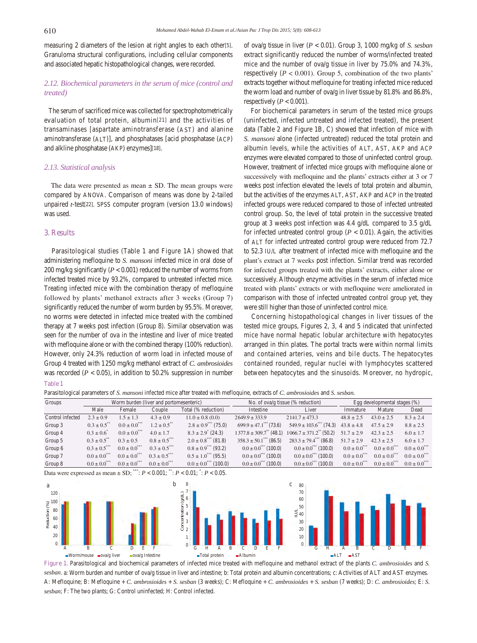measuring 2 diameters of the lesion at right angles to each other[5]. Granuloma structural configurations, including cellular components and associated hepatic histopathological changes, were recorded.

# *2.12. Biochemical parameters in the serum of mice (control and treated)*

 The serum of sacrificed mice was collected for spectrophotometrically evaluation of total protein, albumin[21] and the activities of transaminases [aspartate aminotransferase (AST) and alanine aminotransferase (ALT)], and phosphatases [acid phosphatase (ACP) and alkline phosphatase (AKP) enzymes][18].

# *2.13. Statistical analysis*

The data were presented as mean  $\pm$  SD. The mean groups were compared by ANOVA. Comparison of means was done by 2-tailed unpaired *t*-test[22]. SPSS computer program (version 13.0 windows) was used.

#### **3. Results**

 Parasitological studies (Table 1 and Figure 1A) showed that administering mefloquine to *S. mansoni* infected mice in oral dose of 200 mg/kg significantly (*P* < 0.001) reduced the number of worms from infected treated mice by 93.2%, compared to untreated infected mice. Treating infected mice with the combination therapy of mefloquine followed by plants' methanol extracts after 3 weeks (Group 7) significantly reduced the number of worm burden by 95.5%. Moreover, no worms were detected in infected mice treated with the combined therapy at 7 weeks post infection (Group 8). Similar observation was seen for the number of ova in the intestine and liver of mice treated with mefloquine alone or with the combined therapy (100% reduction). However, only 24.3% reduction of worm load in infected mouse of Group 4 treated with 1250 mg/kg methanol extract of *C. ambrosioides* was recorded  $(P < 0.05)$ , in addition to 50.2% suppression in number of ova/g tissue in liver (*P* < 0.01). Group 3, 1000 mg/kg of *S. sesban*  extract significantly reduced the number of worms/infected treated mice and the number of ova/g tissue in liver by 75.0% and 74.3%, respectively  $(P < 0.001)$ . Group 5, combination of the two plants' extracts together without mefloquine for treating infected mice reduced the worm load and number of ova/g in liver tissue by 81.8% and 86.8%, respectively  $(P < 0.001)$ .

 For biochemical parameters in serum of the tested mice groups (uninfected, infected untreated and infected treated), the present data (Table 2 and Figure 1B, C) showed that infection of mice with *S. mansoni* alone (infected untreated) reduced the total protein and albumin levels, while the activities of ALT, AST, AKP and ACP enzymes were elevated compared to those of uninfected control group. However, treatment of infected mice groups with mefloquine alone or successively with mefloquine and the plants' extracts either at 3 or 7 weeks post infection elevated the levels of total protein and albumin, but the activities of the enzymes ALT, AST, AKP and ACP in the treated infected groups were reduced compared to those of infected untreated control group. So, the level of total protein in the successive treated group at 3 weeks post infection was 4.4 g/dL compared to 3.5 g/dL for infected untreated control group  $(P < 0.01)$ . Again, the activities of ALT for infected untreated control group were reduced from 72.7 to 52.3 IU/L after treatment of infected mice with mefloquine and the plant's extract at 7 weeks post infection. Similar trend was recorded for infected groups treated with the plants' extracts, either alone or successively. Although enzyme activities in the serum of infected mice treated with plants' extracts or with mefloquine were ameliorated in comparison with those of infected untreated control group yet, they were still higher than those of uninfected control mice.

 Concerning histopathological changes in liver tissues of the tested mice groups, Figures 2, 3, 4 and 5 indicated that uninfected mice have normal hepatic lobular architecture with hepatocytes arranged in thin plates. The portal tracts were within normal limits and contained arteries, veins and bile ducts. The hepatocytes contained rounded, regular nuclei with lymphocytes scattered between hepatocytes and the sinusoids. Moreover, no hydropic,

## **Table 1**

Parasitological parameters of *S. mansoni* infected mice after treated with mefloquine, extracts of *C. ambrosioides* and *S. sesban.*

| Groups           | Worm burden (liver and portomesenteric) |                             |               |                                      | No. of $ova/g$ tissue (% reduction)  | Egg developmental stages $(\%)$                               |                            |                       |                              |
|------------------|-----------------------------------------|-----------------------------|---------------|--------------------------------------|--------------------------------------|---------------------------------------------------------------|----------------------------|-----------------------|------------------------------|
|                  | Male                                    | Female                      | Couple        | Total (% reduction)                  | Intestine                            | Liver                                                         | Immature                   | Mature                | Dead                         |
| Control infected | $2.3 \pm 0.9$                           | $1.5 \pm 1.3$               | $4.3 \pm 0.9$ | $11.0 \pm 0.8$ (0.0)                 | $2649.9 \pm 333.9$                   | $2141.7 \pm 473.3$                                            | $48.8 \pm 2.5$             | $43.0 \pm 2.5$        | $8.3 \pm 2.4$                |
| Group 3          | $0.3 \pm 0.5$                           | $0.0 \pm 0.0$ <sup>**</sup> | $1.2 \pm 0.5$ | $2.8 \pm 0.9$ (75.0)                 | $699.9 \pm 47.1$ (73.6)              | $549.9 \pm 103.6$ (74.3)                                      | $43.8 \pm 4.8$             | $47.5 \pm 2.9$        | $8.8 \pm 2.5$                |
| Group 4          | $0.3 \pm 0.6$                           | $0.0 \pm 0.0$ <sup>**</sup> | $4.0 \pm 1.7$ | $8.3 \pm 2.9$ (24.3)                 |                                      | $1377.8 \pm 309.7^{**}$ (48.1) $1066.7 \pm 371.2^{**}$ (50.2) | $51.7 \pm 2.9$             | $42.3 \pm 2.5$        | $6.0 \pm 1.7$                |
| Group 5          | $0.3 \pm 0.5$                           | $0.3 \pm 0.5$               | $0.8 \pm 0.5$ | $2.0 \pm 0.8$ <sup>***</sup> (81.8)  | $358.3 \pm 50.1$ (86.5)              | $283.3 \pm 79.4^{\ast\ast\ast}$ (86.8)                        | $51.7 \pm 2.9$             | $42.3 \pm 2.5$        | $6.0 \pm 1.7$                |
| Group 6          | $0.3 \pm 0.5$                           | $0.0 \pm 0.0$ <sup>**</sup> | $0.3 \pm 0.5$ | $0.8 \pm 0.9$ <sup>***</sup> (93.2)  | $0.0 \pm 0.0^{***}$ (100.0)          | $0.0 \pm 0.0$ <sup>***</sup> (100.0)                          | $0.0 \pm 0.0$ <sup>"</sup> | $0.0 \pm 0.0^{\circ}$ | $0.0 \pm 0.0$ <sup>***</sup> |
| Group 7          | $0.0 \pm 0.0$ <sup>**</sup>             | $0.0 \pm 0.0$ <sup>**</sup> | $0.3 \pm 0.5$ | $0.5 \pm 1.0^{***}$ (95.5)           | $0.0 \pm 0.0$ <sup>***</sup> (100.0) | $0.0 \pm 0.0$ <sup>***</sup> (100.0)                          | $0.0 \pm 0.0$ <sup>"</sup> | $0.0 \pm 0.0^{\circ}$ | $0.0 \pm 0.0$ <sup>***</sup> |
| Group 8          | $0.0 \pm 0.0$ <sup>**</sup>             | $0.0 \pm 0.0$ <sup>**</sup> | $0.0 \pm 0.0$ | $0.0 \pm 0.0$ <sup>***</sup> (100.0) | $0.0 \pm 0.0$ <sup>***</sup> (100.0) | $0.0 \pm 0.0$ <sup>***</sup> (100.0)                          | $0.0 \pm 0.0$ <sup>"</sup> | $0.0 \pm 0.0^{\circ}$ | $0.0 \pm 0.0$ <sup>***</sup> |

Data were expressed as mean ± SD; \*\*\*: *P* < 0.001; \*\*: *P* < 0.01; \* : *P* < 0.05.



**Figure 1.** Parasitological and biochemical parameters of infected mice treated with mefloquine and methanol extract of the plants *C. ambrosioides* and *S. sesban*. a: Worm burden and number of ova/g tissue in liver and intestine; b: Total protein and albumin concentrations; c: Activities of ALT and AST enzymes. A: Mefloquine; B: Mefloquine + *C. ambrosioides* + *S. sesban* (3 weeks); C: Mefloquine + *C. ambrosioides* + *S. sesban* (7 weeks); D: *C. ambrosioides*; E: *S. sesban*; F: The two plants; G: Control uninfected; H: Control infected.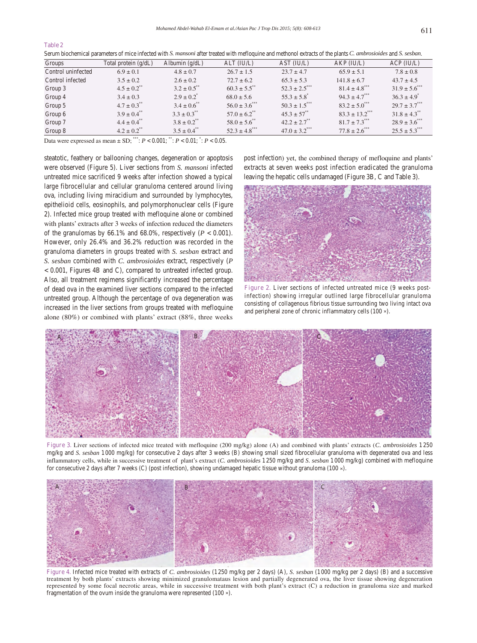Serum biochemical parameters of mice infected with *S. mansoni* after treated with mefloquine and methonol extracts of the plants *C. ambrosioides* and *S. sesban*.

| Groups             | Total protein $(g/dL)$      | Albumin $(g/dL)$            | ALT (IU/L)                    | AST (IU/L)                    | AKP (IU/L)                     | ACP (IU/L)                     |
|--------------------|-----------------------------|-----------------------------|-------------------------------|-------------------------------|--------------------------------|--------------------------------|
| Control uninfected | $6.9 \pm 0.1$               | $4.8 \pm 0.7$               | $26.7 \pm 1.5$                | $23.7 \pm 4.7$                | $65.9 \pm 5.1$                 | $7.8 \pm 0.8$                  |
| Control infected   | $3.5 \pm 0.2$               | $2.6 \pm 0.2$               | $72.7 \pm 6.2$                | $65.3 \pm 5.3$                | $141.8 \pm 6.7$                | $43.7 \pm 4.5$                 |
| Group 3            | $4.5 \pm 0.2$               | $3.2 \pm 0.5$ **            | $60.3 \pm 5.5$ <sup>**</sup>  | $52.3 \pm 2.5$                | $81.4 \pm 4.8$ <sup>***</sup>  | $31.9 \pm 5.6$ <sup>****</sup> |
| Group 4            | $3.4 \pm 0.3$               | $2.9 \pm 0.2^*$             | $68.0 \pm 5.6$                | $55.3 \pm 5.8$                | $94.3 \pm 4.7$ <sup>***</sup>  | $36.3 \pm 4.9$ <sup>*</sup>    |
| Group 5            | $4.7 \pm 0.3$ <sup>**</sup> | $3.4 \pm 0.6$ <sup>**</sup> | $56.0 \pm 3.6$ <sup>***</sup> | $50.3 \pm 1.5$ <sup>***</sup> | $83.2 \pm 5.0^{***}$           | $29.7 \pm 3.7***$              |
| Group 6            | $3.9 \pm 0.4$ <sup>**</sup> | $3.3 \pm 0.3$ <sup>**</sup> | $57.0 \pm 6.2$ <sup>**</sup>  | $45.3 \pm 57^{**}$            | $83.3 \pm 13.2$ <sup>***</sup> | $31.8 \pm 4.3$ <sup>**</sup>   |
| Group 7            | $4.4 \pm 0.4$ <sup>**</sup> | $3.8 \pm 0.2$ <sup>**</sup> | $58.0 \pm 5.6$ <sup>**</sup>  | $42.2 \pm 2.7$ <sup>**</sup>  | $81.7 \pm 7.3***$              | $28.9 \pm 3.6$ <sup>****</sup> |
| Group 8            | $4.2 \pm 0.2$ <sup>**</sup> | $3.5 \pm 0.4$ <sup>**</sup> | $52.3 \pm 4.8$ ***            | $47.0 \pm 3.2$ ***            | $77.8 \pm 2.6$ ***             | $25.5 \pm 5.3$ <sup>***</sup>  |

Data were expressed as mean  $\pm$  SD; \*\*\*;  $P < 0.001$ ; \*\*;  $P < 0.01$ ; \*:  $P < 0.05$ .

steatotic, feathery or ballooning changes, degeneration or apoptosis were observed (Figure 5). Liver sections from *S. mansoni* infected untreated mice sacrificed 9 weeks after infection showed a typical large fibrocellular and cellular granuloma centered around living ova, including living miracidium and surrounded by lymphocytes, epithelioid cells, eosinophils, and polymorphonuclear cells (Figure 2). Infected mice group treated with mefloquine alone or combined with plants' extracts after 3 weeks of infection reduced the diameters of the granulomas by 66.1% and 68.0%, respectively  $(P < 0.001)$ . However, only 26.4% and 36.2% reduction was recorded in the granuloma diameters in groups treated with *S. sesban* extract and *S. sesban* combined with *C. ambrosioides* extract, respectively (*P* < 0.001, Figures 4B and C), compared to untreated infected group. Also, all treatment regimens significantly increased the percentage of dead ova in the examined liver sections compared to the infected untreated group. Although the percentage of ova degeneration was increased in the liver sections from groups treated with mefloquine alone (80%) or combined with plants' extract (88%, three weeks post infection) yet, the combined therapy of mefloquine and plants' extracts at seven weeks post infection eradicated the granuloma leaving the hepatic cells undamaged (Figure 3B, C and Table 3).



Figure 2. Liver sections of infected untreated mice (9 weeks postinfection) showing irregular outlined large fibrocellular granuloma consisting of collagenous fibrious tissue surrounding two living intact ova and peripheral zone of chronic inflammatory cells (100 ×).



**Figure 3.** Liver sections of infected mice treated with mefloquine (200 mg/kg) alone (A) and combined with plants' extracts (*C. ambrosioides* 1 250 mg/kg and *S. sesban* 1000 mg/kg) for consecutive 2 days after 3 weeks (B) showing small sized fibrocellular granuloma with degenerated ova and less inflammatory cells, while in successive treatment of plant's extract (*C. ambrosioides* 1250 mg/kg and *S. sesban* 1000 mg/kg) combined with mefloquine for consecutive 2 days after 7 weeks (C) (post infection), showing undamaged hepatic tissue without granuloma (100 ×).



**Figure 4.** Infected mice treated with extracts of *C. ambrosioides* (1250 mg/kg per 2 days) (A), *S. sesban* (1000 mg/kg per 2 days) (B) and a successive treatment by both plants' extracts showing minimized granulomataus lesion and partially degenerated ova, the liver tissue showing degeneration represented by some focal necrotic areas, while in successive treatment with both plant's extract (C) a reduction in granuloma size and marked fragmentation of the ovum inside the granuloma were represented (100 ×).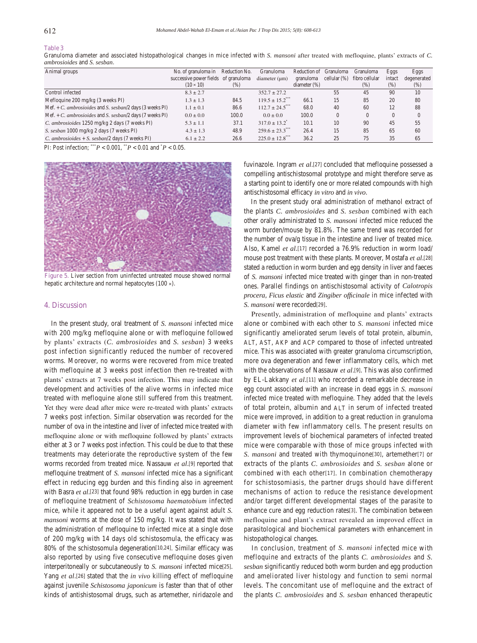# **Table 3**

Granuloma diameter and associated histopathological changes in mice infected with *S. mansoni* after treated with mefloquine, plants' extracts of *C. ambrosioides* and *S. sesban*.

| Animal groups                                            | No. of granuloma in                  | Reduction No. | Granuloma                       | Reduction of    | Granuloma       | <b>Granuloma</b> | Eggs     | Eggs        |
|----------------------------------------------------------|--------------------------------------|---------------|---------------------------------|-----------------|-----------------|------------------|----------|-------------|
|                                                          | successive power fields of granuloma |               | diameter (µm)                   | granuloma       | cellular $(\%)$ | fibro cellular   | intact   | degenerated |
|                                                          | $(10 \times 10)$                     | (%)           |                                 | diameter $(\%)$ |                 | (% )             | (% )     | (%)         |
| Control infected                                         | $8.3 \pm 2.7$                        |               | $352.7 \pm 27.2$                |                 | 55              | 45               | 90       | 10          |
| Mefloquine $200 \text{ mg/kg}$ (3 weeks PI)              | $1.3 \pm 1.3$                        | 84.5          | $119.5 \pm 15.2$ <sup>***</sup> | 66.1            | 15              | 85               | 20       | 80          |
| Mef. + C. ambrosioides and S. sesban/2 days (3 weeks PI) | $1.1 \pm 0.1$                        | 86.6          | $112.7 \pm 24.5$ ***            | 68.0            | 40              | 60               | 12       | 88          |
| Mef. + C. ambrosioides and S. sesban/2 days (7 weeks PI) | $0.0 \pm 0.0$                        | 100.0         | $0.0 \pm 0.0$                   | 100.0           | $\Omega$        | $\Omega$         | $\Omega$ | $\Omega$    |
| C. ambrosioides 1250 mg/kg 2 days (7 weeks PI)           | $5.3 \pm 1.1$                        | 37.1          | $317.0 \pm 13.2$ <sup>*</sup>   | 10.1            | 10              | 90               | 45       | 55          |
| S. sesban 1000 mg/kg 2 days (7 weeks PI)                 | $4.3 \pm 1.3$                        | 48.9          | $259.6 \pm 23.3$ <sup>***</sup> | 26.4            | 15              | 85               | 65       | 60          |
| C. ambrosioides + S. sesban/2 days (7 weeks PI)          | $6.1 \pm 2.2$                        | 26.6          | $225.0 \pm 12.8$ <sup>***</sup> | 36.2            | 25              | 75               | 35       | 65          |

PI: Post infection; \*\*\* $P < 0.001$ , \*\* $P < 0.01$  and  $P < 0.05$ .



**Figure 5.** Liver section from uninfected untreated mouse showed normal hepatic architecture and normal hepatocytes (100 ×).

#### **4. Discussion**

 In the present study, oral treatment of *S. mansoni* infected mice with 200 mg/kg mefloquine alone or with mefloquine followed by plants' extracts (*C. ambrosioides* and *S. sesban*) 3 weeks post infection significantly reduced the number of recovered worms. Moreover, no worms were recovered from mice treated with mefloquine at 3 weeks post infection then re-treated with plants' extracts at 7 weeks post infection. This may indicate that development and activities of the alive worms in infected mice treated with mefloquine alone still suffered from this treatment. Yet they were dead after mice were re-treated with plants' extracts 7 weeks post infection. Similar observation was recorded for the number of ova in the intestine and liver of infected mice treated with mefloquine alone or with mefloquine followed by plants' extracts either at 3 or 7 weeks post infection. This could be due to that these treatments may deteriorate the reproductive system of the few worms recorded from treated mice. Nassauw *et al*.[9] reported that mefloquine treatment of *S. mansoni* infected mice has a significant effect in reducing egg burden and this finding also in agreement with Basra *et al*.[23] that found 98% reduction in egg burden in case of mefloquine treatment of *Schistosoma haematobium* infected mice, while it appeared not to be a useful agent against adult *S. mansoni* worms at the dose of 150 mg/kg. It was stated that with the administration of mefloquine to infected mice at a single dose of 200 mg/kg with 14 days old schistosomula, the efficacy was 80% of the schistosomula degeneration[10,24]. Similar efficacy was also reported by using five consecutive mefloquine doses given interperitoneally or subcutaneously to *S. mansoni* infected mice[25]. Yang *et al*.[26] stated that the *in vivo* killing effect of mefloquine against juvenile *Schistosoma japonicum* is faster than that of other kinds of antishistosomal drugs, such as artemether, niridazole and

fuvinazole. Ingram *et al*.[27] concluded that mefloquine possessed a compelling antischistosomal prototype and might therefore serve as a starting point to identify one or more related compounds with high antischistosomal efficacy *in vitro* and *in vivo*.

 In the present study oral administration of methanol extract of the plants *C. ambrosioides* and *S. sesban* combined with each other orally administrated to *S. mansoni* infected mice reduced the worm burden/mouse by 81.8%. The same trend was recorded for the number of ova/g tissue in the intestine and liver of treated mice. Also, Kamel *et al*.[17] recorded a 76.9% reduction in worm load/ mouse post treatment with these plants. Moreover, Mostafa *et al*.[28] stated a reduction in worm burden and egg density in liver and faeces of *S. mansoni* infected mice treated with ginger than in non-treated ones. Parallel findings on antischistosomal activity of *Calotropis procera*, *Ficus elastic* and *Zingiber officinale* in mice infected with *S. mansoni* were recorded[29].

 Presently, administration of mefloquine and plants' extracts alone or combined with each other to *S. mansoni* infected mice significantly ameliorated serum levels of total protein, albumin, ALT, AST, AKP and ACP compared to those of infected untreated mice. This was associated with greater granuloma circumscription, more ova degeneration and fewer inflammatory cells, which met with the observations of Nassauw *et al*.[9]. This was also confirmed by EL-Lakkany *et al*.[11] who recorded a remarkable decrease in egg count associated with an increase in dead eggs in *S. mansoni* infected mice treated with mefloquine. They added that the levels of total protein, albumin and ALT in serum of infected treated mice were improved, in addition to a great reduction in granuloma diameter with few inflammatory cells. The present results on improvement levels of biochemical parameters of infected treated mice were comparable with those of mice groups infected with *S. mansoni* and treated with thymoquinone[30], artemether[7] or extracts of the plants *C. ambrosioides* and *S. sesban* alone or combined with each other[17]. In combination chemotherapy for schistosomiasis, the partner drugs should have different mechanisms of action to reduce the resistance development and/or target different developmental stages of the parasite to enhance cure and egg reduction rates[3]. The combination between mefloquine and plant's extract revealed an improved effect in parasitological and biochemical parameters with enhancement in histopathological changes.

 In conclusion, treatment of *S. mansoni* infected mice with mefloquine and extracts of the plants *C. ambrosioides* and *S. sesban* significantly reduced both worm burden and egg production and ameliorated liver histology and function to semi normal levels. The concomitant use of mefloquine and the extract of the plants *C. ambrosioides* and *S. sesban* enhanced therapeutic